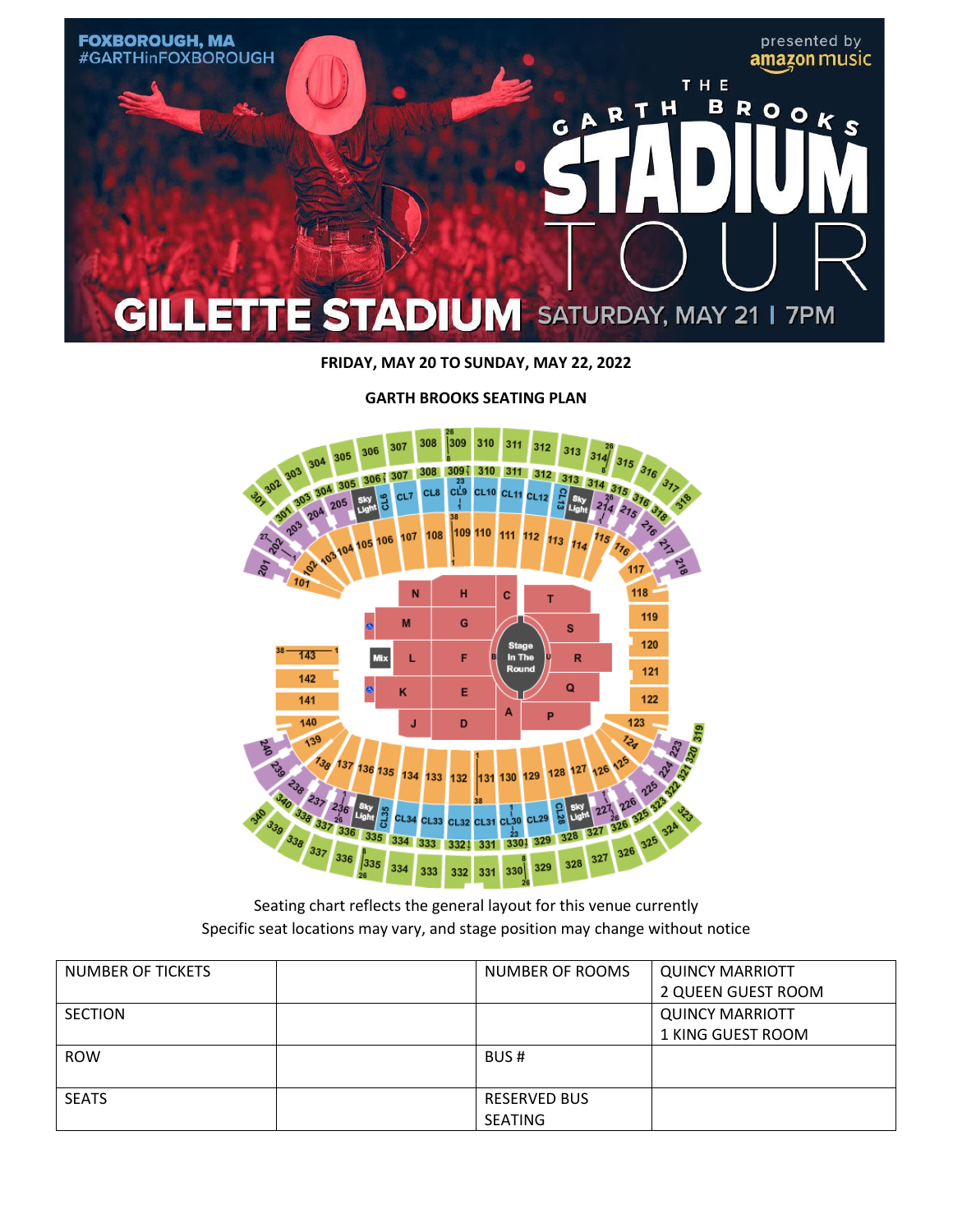

**FRIDAY, MAY 20 TO SUNDAY, MAY 22, 2022**



**GARTH BROOKS SEATING PLAN**

Seating chart reflects the general layout for this venue currently Specific seat locations may vary, and stage position may change without notice

| NUMBER OF TICKETS | NUMBER OF ROOMS     | <b>QUINCY MARRIOTT</b> |
|-------------------|---------------------|------------------------|
|                   |                     | 2 QUEEN GUEST ROOM     |
| <b>SECTION</b>    |                     | <b>QUINCY MARRIOTT</b> |
|                   |                     | 1 KING GUEST ROOM      |
| <b>ROW</b>        | BUS#                |                        |
|                   |                     |                        |
| <b>SEATS</b>      | <b>RESERVED BUS</b> |                        |
|                   | <b>SEATING</b>      |                        |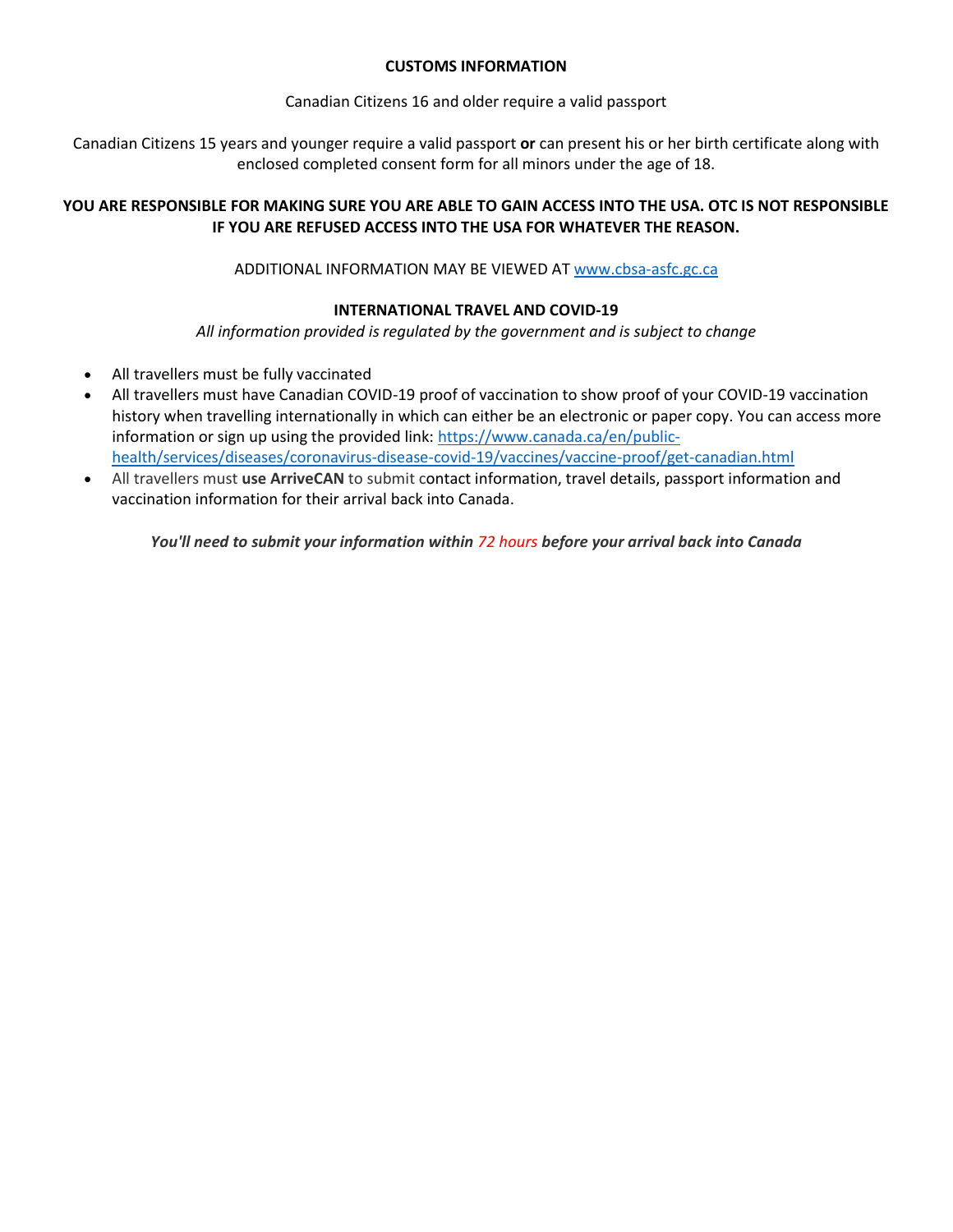# **CUSTOMS INFORMATION**

Canadian Citizens 16 and older require a valid passport

Canadian Citizens 15 years and younger require a valid passport **or** can present his or her birth certificate along with enclosed completed consent form for all minors under the age of 18.

# **YOU ARE RESPONSIBLE FOR MAKING SURE YOU ARE ABLE TO GAIN ACCESS INTO THE USA. OTC IS NOT RESPONSIBLE IF YOU ARE REFUSED ACCESS INTO THE USA FOR WHATEVER THE REASON.**

ADDITIONAL INFORMATION MAY BE VIEWED AT [www.cbsa-asfc.gc.ca](http://www.cbsa-asfc.gc.ca/)

# **INTERNATIONAL TRAVEL AND COVID-19**

*All information provided is regulated by the government and is subject to change*

- All travellers must be fully vaccinated
- All travellers must have Canadian COVID-19 proof of vaccination to show proof of your COVID-19 vaccination history when travelling internationally in which can either be an electronic or paper copy. You can access more information or sign up using the provided link: [https://www.canada.ca/en/public](https://www.canada.ca/en/public-health/services/diseases/coronavirus-disease-covid-19/vaccines/vaccine-proof/get-canadian.html)[health/services/diseases/coronavirus-disease-covid-19/vaccines/vaccine-proof/get-canadian.html](https://www.canada.ca/en/public-health/services/diseases/coronavirus-disease-covid-19/vaccines/vaccine-proof/get-canadian.html)
- All travellers must **use ArriveCAN** to submit contact information, travel details, passport information and vaccination information for their arrival back into Canada.

*You'll need to submit your information within 72 hours before your arrival back into Canada*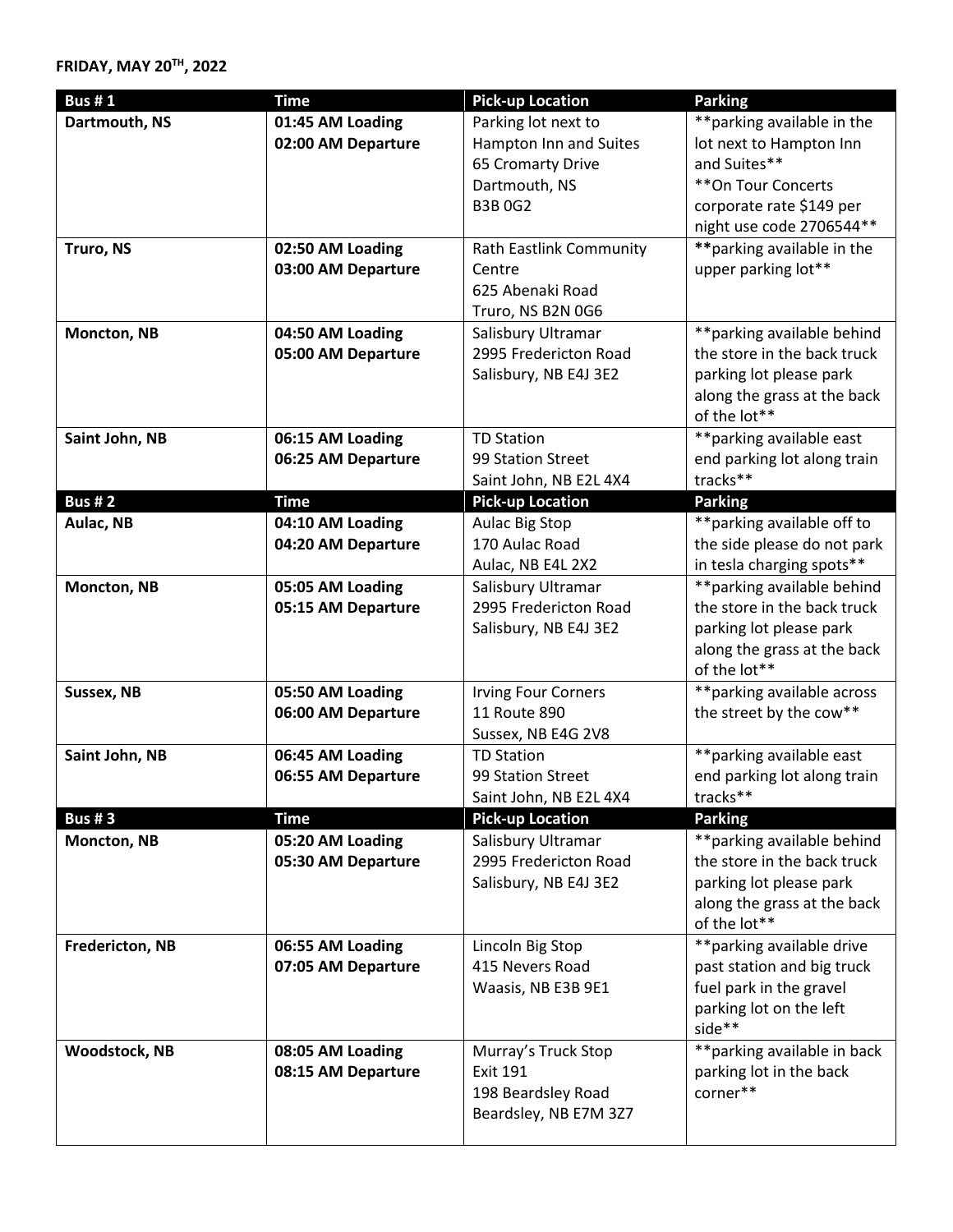# **FRIDAY, MAY 20TH, 2022**

| <b>Bus #1</b>        | <b>Time</b>        | <b>Pick-up Location</b>                     | <b>Parking</b>                                          |
|----------------------|--------------------|---------------------------------------------|---------------------------------------------------------|
| Dartmouth, NS        | 01:45 AM Loading   | Parking lot next to                         | ** parking available in the                             |
|                      | 02:00 AM Departure | Hampton Inn and Suites                      | lot next to Hampton Inn                                 |
|                      |                    | 65 Cromarty Drive                           | and Suites**                                            |
|                      |                    | Dartmouth, NS                               | ** On Tour Concerts                                     |
|                      |                    | <b>B3B0G2</b>                               | corporate rate \$149 per                                |
|                      |                    |                                             | night use code 2706544**                                |
| Truro, NS            | 02:50 AM Loading   | <b>Rath Eastlink Community</b>              | ** parking available in the                             |
|                      | 03:00 AM Departure | Centre                                      | upper parking lot**                                     |
|                      |                    | 625 Abenaki Road                            |                                                         |
|                      |                    | Truro, NS B2N 0G6                           |                                                         |
| Moncton, NB          | 04:50 AM Loading   | Salisbury Ultramar                          | ** parking available behind                             |
|                      | 05:00 AM Departure | 2995 Fredericton Road                       | the store in the back truck                             |
|                      |                    | Salisbury, NB E4J 3E2                       | parking lot please park                                 |
|                      |                    |                                             | along the grass at the back                             |
|                      |                    |                                             | of the lot**                                            |
| Saint John, NB       | 06:15 AM Loading   | <b>TD Station</b>                           | ** parking available east                               |
|                      | 06:25 AM Departure | 99 Station Street                           | end parking lot along train<br>tracks**                 |
| <b>Bus #2</b>        | <b>Time</b>        | Saint John, NB E2L 4X4                      |                                                         |
| Aulac, NB            | 04:10 AM Loading   | <b>Pick-up Location</b><br>Aulac Big Stop   | <b>Parking</b><br>** parking available off to           |
|                      | 04:20 AM Departure | 170 Aulac Road                              | the side please do not park                             |
|                      |                    | Aulac, NB E4L 2X2                           | in tesla charging spots**                               |
| Moncton, NB          | 05:05 AM Loading   | Salisbury Ultramar                          | **parking available behind                              |
|                      | 05:15 AM Departure | 2995 Fredericton Road                       | the store in the back truck                             |
|                      |                    | Salisbury, NB E4J 3E2                       | parking lot please park                                 |
|                      |                    |                                             | along the grass at the back                             |
|                      |                    |                                             | of the lot**                                            |
| Sussex, NB           | 05:50 AM Loading   | <b>Irving Four Corners</b>                  | **parking available across                              |
|                      | 06:00 AM Departure | 11 Route 890                                | the street by the cow**                                 |
|                      |                    | Sussex, NB E4G 2V8                          |                                                         |
| Saint John, NB       | 06:45 AM Loading   | <b>TD Station</b>                           | ** parking available east                               |
|                      | 06:55 AM Departure | 99 Station Street                           | end parking lot along train                             |
|                      |                    | Saint John, NB E2L 4X4                      | tracks**                                                |
| <b>Bus #3</b>        | <b>Time</b>        | <b>Pick-up Location</b>                     | <b>Parking</b>                                          |
| Moncton, NB          | 05:20 AM Loading   | Salisbury Ultramar                          | ** parking available behind                             |
|                      | 05:30 AM Departure | 2995 Fredericton Road                       | the store in the back truck                             |
|                      |                    | Salisbury, NB E4J 3E2                       | parking lot please park                                 |
|                      |                    |                                             | along the grass at the back                             |
|                      |                    |                                             | of the lot**                                            |
| Fredericton, NB      | 06:55 AM Loading   | Lincoln Big Stop                            | ** parking available drive                              |
|                      | 07:05 AM Departure | 415 Nevers Road                             | past station and big truck                              |
|                      |                    | Waasis, NB E3B 9E1                          | fuel park in the gravel                                 |
|                      |                    |                                             | parking lot on the left                                 |
|                      |                    |                                             | side**                                                  |
| <b>Woodstock, NB</b> | 08:05 AM Loading   | Murray's Truck Stop<br><b>Exit 191</b>      | ** parking available in back<br>parking lot in the back |
|                      | 08:15 AM Departure |                                             | corner**                                                |
|                      |                    | 198 Beardsley Road<br>Beardsley, NB E7M 3Z7 |                                                         |
|                      |                    |                                             |                                                         |
|                      |                    |                                             |                                                         |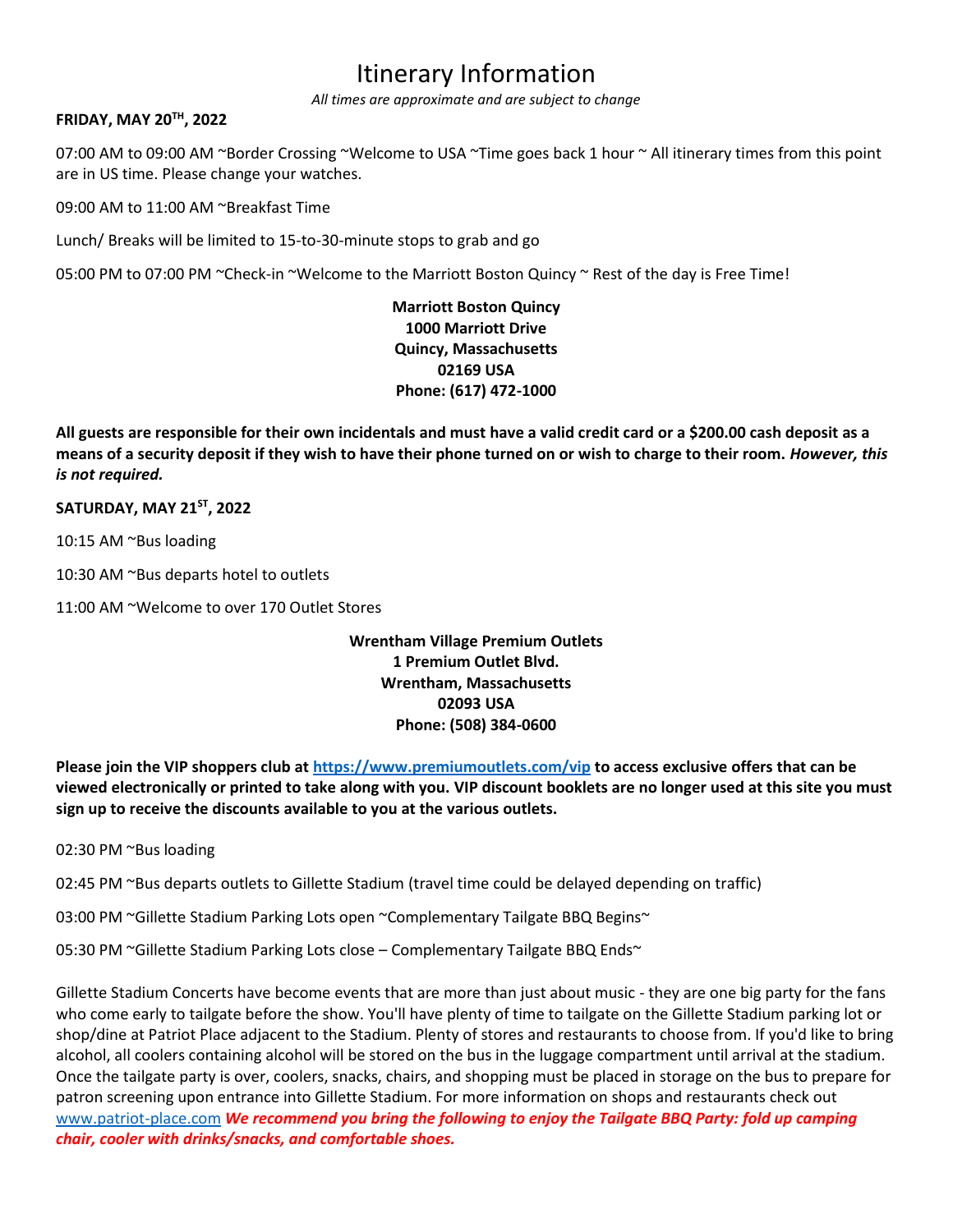# Itinerary Information

*All times are approximate and are subject to change*

# **FRIDAY, MAY 20TH, 2022**

07:00 AM to 09:00 AM ~Border Crossing ~Welcome to USA ~Time goes back 1 hour ~ All itinerary times from this point are in US time. Please change your watches.

09:00 AM to 11:00 AM ~Breakfast Time

Lunch/ Breaks will be limited to 15-to-30-minute stops to grab and go

05:00 PM to 07:00 PM ~Check-in ~Welcome to the Marriott Boston Quincy ~ Rest of the day is Free Time!

**Marriott Boston Quincy 1000 Marriott Drive Quincy, Massachusetts 02169 USA Phone: (617) 472-1000**

**All guests are responsible for their own incidentals and must have a valid credit card or a \$200.00 cash deposit as a means of a security deposit if they wish to have their phone turned on or wish to charge to their room.** *However, this is not required.*

### **SATURDAY, MAY 21ST, 2022**

10:15 AM ~Bus loading

10:30 AM ~Bus departs hotel to outlets

11:00 AM ~Welcome to over 170 Outlet Stores

# **Wrentham Village Premium Outlets 1 Premium Outlet Blvd. Wrentham, Massachusetts 02093 USA Phone: (508) 384-0600**

**Please join the VIP shoppers club at<https://www.premiumoutlets.com/vip> to access exclusive offers that can be viewed electronically or printed to take along with you. VIP discount booklets are no longer used at this site you must sign up to receive the discounts available to you at the various outlets.**

02:30 PM ~Bus loading

02:45 PM ~Bus departs outlets to Gillette Stadium (travel time could be delayed depending on traffic)

03:00 PM ~Gillette Stadium Parking Lots open ~Complementary Tailgate BBQ Begins~

05:30 PM ~Gillette Stadium Parking Lots close – Complementary Tailgate BBQ Ends~

Gillette Stadium Concerts have become events that are more than just about music - they are one big party for the fans who come early to tailgate before the show. You'll have plenty of time to tailgate on the Gillette Stadium parking lot or shop/dine at Patriot Place adjacent to the Stadium. Plenty of stores and restaurants to choose from. If you'd like to bring alcohol, all coolers containing alcohol will be stored on the bus in the luggage compartment until arrival at the stadium. Once the tailgate party is over, coolers, snacks, chairs, and shopping must be placed in storage on the bus to prepare for patron screening upon entrance into Gillette Stadium. For more information on shops and restaurants check out [www.patriot-place.com](http://www.patriot-place.com/) *We recommend you bring the following to enjoy the Tailgate BBQ Party: fold up camping chair, cooler with drinks/snacks, and comfortable shoes.*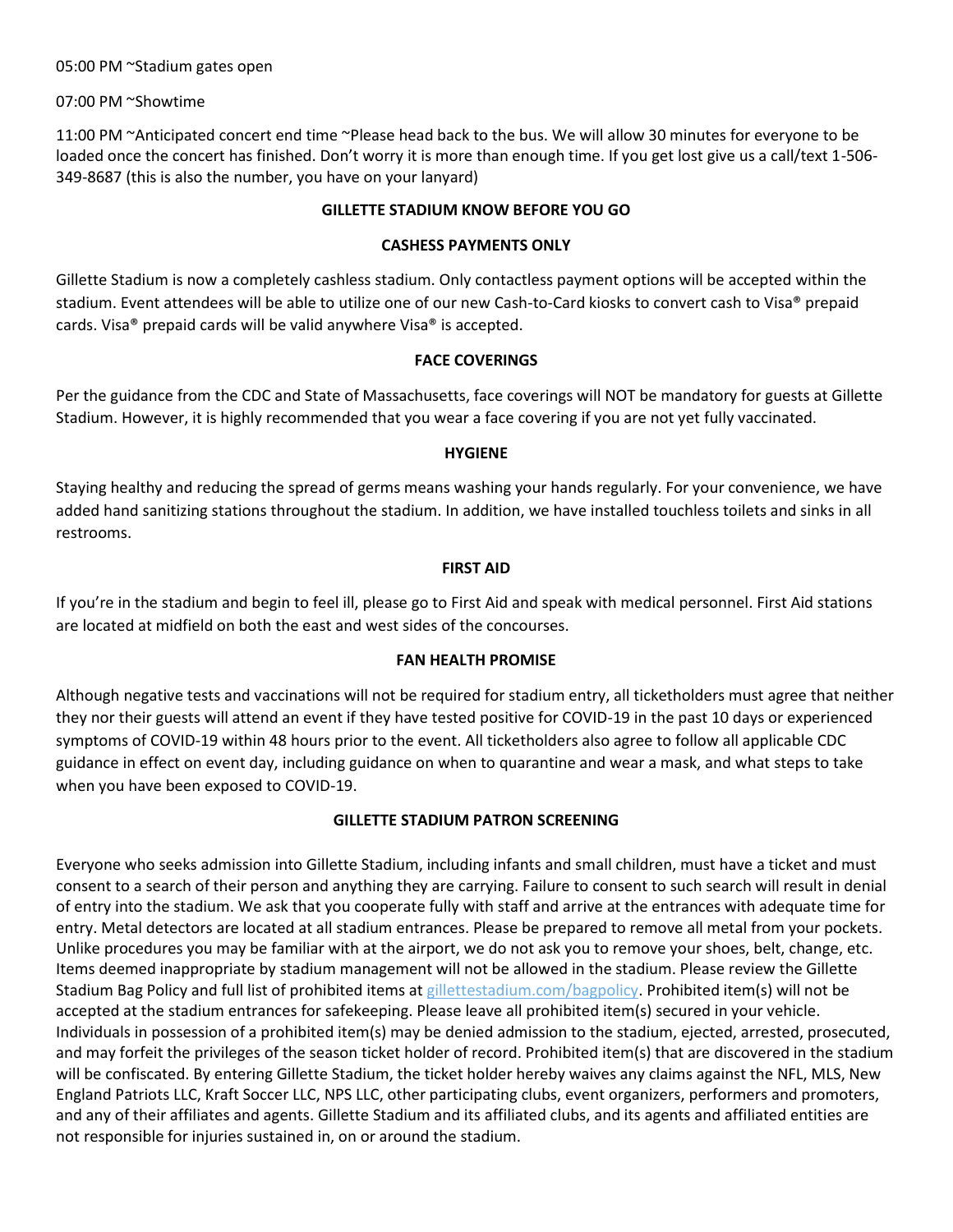05:00 PM ~Stadium gates open

07:00 PM ~Showtime

11:00 PM ~Anticipated concert end time ~Please head back to the bus. We will allow 30 minutes for everyone to be loaded once the concert has finished. Don't worry it is more than enough time. If you get lost give us a call/text 1-506- 349-8687 (this is also the number, you have on your lanyard)

# **GILLETTE STADIUM KNOW BEFORE YOU GO**

# **CASHESS PAYMENTS ONLY**

Gillette Stadium is now a completely cashless stadium. Only contactless payment options will be accepted within the stadium. Event attendees will be able to utilize one of our new Cash-to-Card kiosks to convert cash to Visa® prepaid cards. Visa® prepaid cards will be valid anywhere Visa® is accepted.

### **FACE COVERINGS**

Per the guidance from the CDC and State of Massachusetts, face coverings will NOT be mandatory for guests at Gillette Stadium. However, it is highly recommended that you wear a face covering if you are not yet fully vaccinated.

### **HYGIENE**

Staying healthy and reducing the spread of germs means washing your hands regularly. For your convenience, we have added hand sanitizing stations throughout the stadium. In addition, we have installed touchless toilets and sinks in all restrooms.

### **FIRST AID**

If you're in the stadium and begin to feel ill, please go to First Aid and speak with medical personnel. First Aid stations are located at midfield on both the east and west sides of the concourses.

#### **FAN HEALTH PROMISE**

Although negative tests and vaccinations will not be required for stadium entry, all ticketholders must agree that neither they nor their guests will attend an event if they have tested positive for COVID-19 in the past 10 days or experienced symptoms of COVID-19 within 48 hours prior to the event. All ticketholders also agree to follow all applicable CDC guidance in effect on event day, including guidance on when to quarantine and wear a mask, and what steps to take when you have been exposed to COVID-19.

# **GILLETTE STADIUM PATRON SCREENING**

Everyone who seeks admission into Gillette Stadium, including infants and small children, must have a ticket and must consent to a search of their person and anything they are carrying. Failure to consent to such search will result in denial of entry into the stadium. We ask that you cooperate fully with staff and arrive at the entrances with adequate time for entry. Metal detectors are located at all stadium entrances. Please be prepared to remove all metal from your pockets. Unlike procedures you may be familiar with at the airport, we do not ask you to remove your shoes, belt, change, etc. Items deemed inappropriate by stadium management will not be allowed in the stadium. Please review the Gillette Stadium Bag Policy and full list of prohibited items at [gillettestadium.com/bagpolicy.](http://gillettestadium.com/bagpolicy) Prohibited item(s) will not be accepted at the stadium entrances for safekeeping. Please leave all prohibited item(s) secured in your vehicle. Individuals in possession of a prohibited item(s) may be denied admission to the stadium, ejected, arrested, prosecuted, and may forfeit the privileges of the season ticket holder of record. Prohibited item(s) that are discovered in the stadium will be confiscated. By entering Gillette Stadium, the ticket holder hereby waives any claims against the NFL, MLS, New England Patriots LLC, Kraft Soccer LLC, NPS LLC, other participating clubs, event organizers, performers and promoters, and any of their affiliates and agents. Gillette Stadium and its affiliated clubs, and its agents and affiliated entities are not responsible for injuries sustained in, on or around the stadium.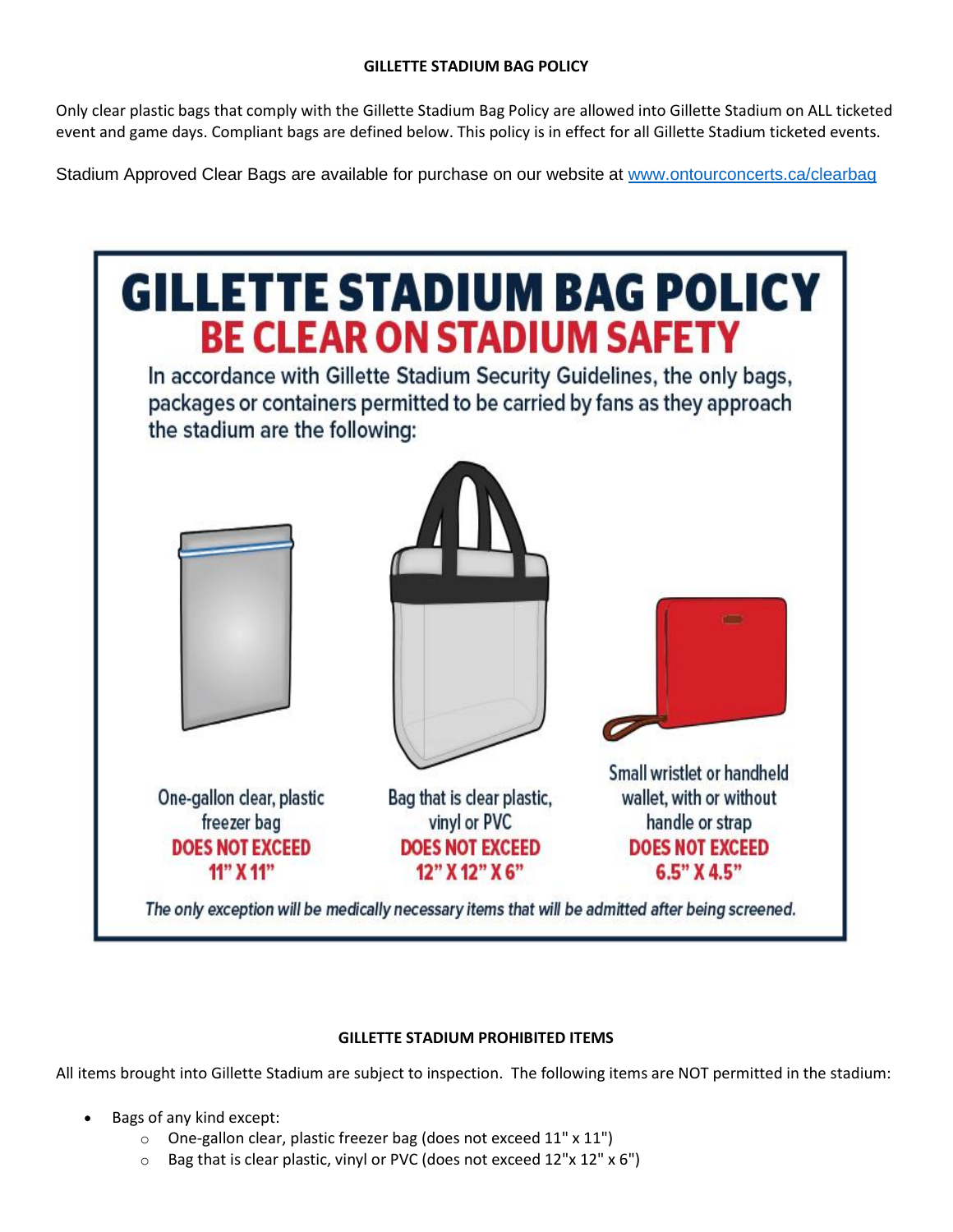Only clear plastic bags that comply with the Gillette Stadium Bag Policy are allowed into Gillette Stadium on ALL ticketed event and game days. Compliant bags are defined below. This policy is in effect for all Gillette Stadium ticketed events.

Stadium Approved Clear Bags are available for purchase on our website at [www.ontourconcerts.ca/clearbag](http://www.ontourconcerts.ca/clearbag)

| the stadium are the following:                                     | <b>BE CLEAR ON STADIUM SAFETY</b><br>In accordance with Gillette Stadium Security Guidelines, the only bags,<br>packages or containers permitted to be carried by fans as they approach | <b>GILLETTE STADIUM BAG POLICY</b>                                   |
|--------------------------------------------------------------------|-----------------------------------------------------------------------------------------------------------------------------------------------------------------------------------------|----------------------------------------------------------------------|
|                                                                    |                                                                                                                                                                                         | Small wristlet or handheld                                           |
| One-gallon clear, plastic<br>freezer bag<br><b>DOES NOT EXCEED</b> | Bag that is clear plastic,<br>vinyl or PVC<br><b>DOES NOT EXCEED</b>                                                                                                                    | wallet, with or without<br>handle or strap<br><b>DOES NOT EXCEED</b> |
| 11" X 11"                                                          | 12" X 12" X 6"<br>The only exception will be medically necessary items that will be admitted after being screened.                                                                      | 6.5" X 4.5"                                                          |

# **GILLETTE STADIUM PROHIBITED ITEMS**

All items brought into Gillette Stadium are subject to inspection. The following items are NOT permitted in the stadium:

- Bags of any kind except:
	- o One-gallon clear, plastic freezer bag (does not exceed 11" x 11")
	- o Bag that is clear plastic, vinyl or PVC (does not exceed 12"x 12" x 6")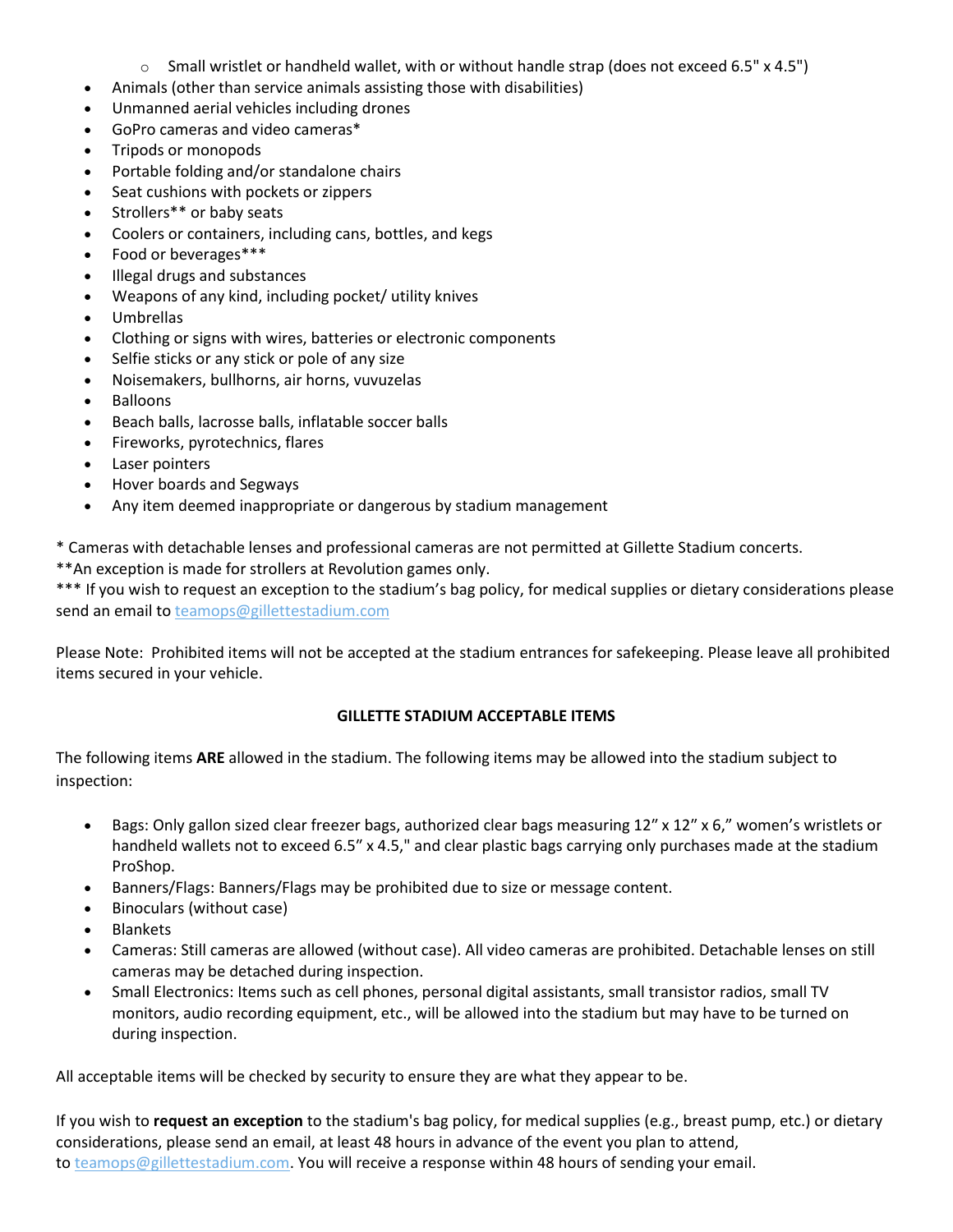- $\circ$  Small wristlet or handheld wallet, with or without handle strap (does not exceed 6.5" x 4.5")
- Animals (other than service animals assisting those with disabilities)
- Unmanned aerial vehicles including drones
- GoPro cameras and video cameras\*
- Tripods or monopods
- Portable folding and/or standalone chairs
- Seat cushions with pockets or zippers
- Strollers\*\* or baby seats
- Coolers or containers, including cans, bottles, and kegs
- Food or beverages\*\*\*
- Illegal drugs and substances
- Weapons of any kind, including pocket/ utility knives
- Umbrellas
- Clothing or signs with wires, batteries or electronic components
- Selfie sticks or any stick or pole of any size
- Noisemakers, bullhorns, air horns, vuvuzelas
- Balloons
- Beach balls, lacrosse balls, inflatable soccer balls
- Fireworks, pyrotechnics, flares
- Laser pointers
- Hover boards and Segways
- Any item deemed inappropriate or dangerous by stadium management

\* Cameras with detachable lenses and professional cameras are not permitted at Gillette Stadium concerts.

\*\*An exception is made for strollers at Revolution games only.

\*\*\* If you wish to request an exception to the stadium's bag policy, for medical supplies or dietary considerations please send an email to [teamops@gillettestadium.com](mailto:teamops@gillettestadium.com)

Please Note: Prohibited items will not be accepted at the stadium entrances for safekeeping. Please leave all prohibited items secured in your vehicle.

# **GILLETTE STADIUM ACCEPTABLE ITEMS**

The following items **ARE** allowed in the stadium. The following items may be allowed into the stadium subject to inspection:

- Bags: Only gallon sized clear freezer bags, authorized clear bags measuring 12″ x 12″ x 6," women's wristlets or handheld wallets not to exceed 6.5″ x 4.5," and clear plastic bags carrying only purchases made at the stadium ProShop.
- Banners/Flags: Banners/Flags may be prohibited due to size or message content.
- Binoculars (without case)
- Blankets
- Cameras: Still cameras are allowed (without case). All video cameras are prohibited. Detachable lenses on still cameras may be detached during inspection.
- Small Electronics: Items such as cell phones, personal digital assistants, small transistor radios, small TV monitors, audio recording equipment, etc., will be allowed into the stadium but may have to be turned on during inspection.

All acceptable items will be checked by security to ensure they are what they appear to be.

If you wish to **request an exception** to the stadium's bag policy, for medical supplies (e.g., breast pump, etc.) or dietary considerations, please send an email, at least 48 hours in advance of the event you plan to attend, to [teamops@gillettestadium.com.](mailto:teamops@gillettestadium.com) You will receive a response within 48 hours of sending your email.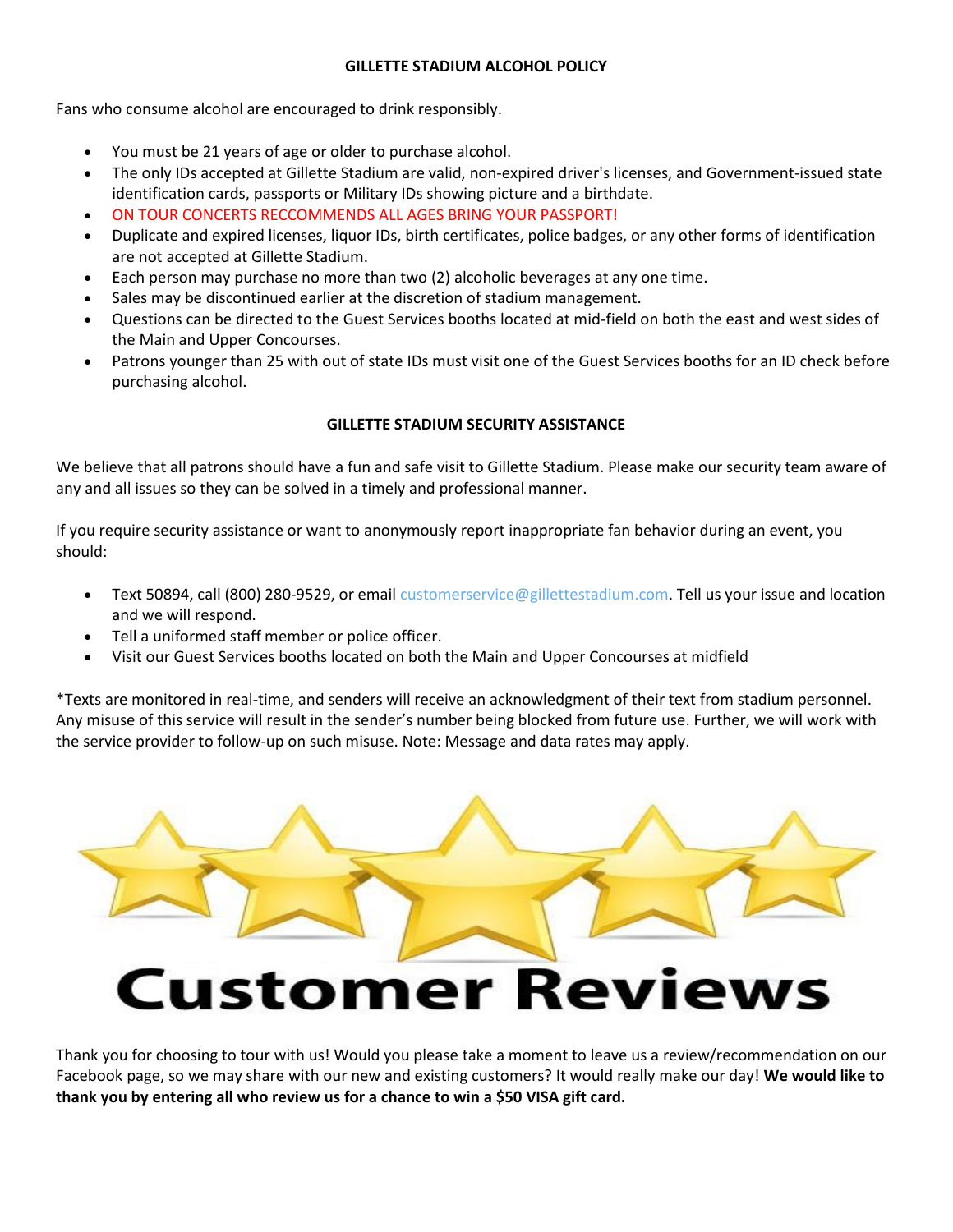# **GILLETTE STADIUM ALCOHOL POLICY**

Fans who consume alcohol are encouraged to drink responsibly.

- You must be 21 years of age or older to purchase alcohol.
- The only IDs accepted at Gillette Stadium are valid, non-expired driver's licenses, and Government-issued state identification cards, passports or Military IDs showing picture and a birthdate.
- ON TOUR CONCERTS RECCOMMENDS ALL AGES BRING YOUR PASSPORT!
- Duplicate and expired licenses, liquor IDs, birth certificates, police badges, or any other forms of identification are not accepted at Gillette Stadium.
- Each person may purchase no more than two (2) alcoholic beverages at any one time.
- Sales may be discontinued earlier at the discretion of stadium management.
- Questions can be directed to the Guest Services booths located at mid-field on both the east and west sides of the Main and Upper Concourses.
- Patrons younger than 25 with out of state IDs must visit one of the Guest Services booths for an ID check before purchasing alcohol.

# **GILLETTE STADIUM SECURITY ASSISTANCE**

We believe that all patrons should have a fun and safe visit to Gillette Stadium. Please make our security team aware of any and all issues so they can be solved in a timely and professional manner.

If you require security assistance or want to anonymously report inappropriate fan behavior during an event, you should:

- Text 50894, call (800) 280-9529, or email [customerservice@gillettestadium.com.](mailto:customerservice@gillettestadium.com) Tell us your issue and location and we will respond.
- Tell a uniformed staff member or police officer.
- Visit our Guest Services booths located on both the Main and Upper Concourses at midfield

\*Texts are monitored in real-time, and senders will receive an acknowledgment of their text from stadium personnel. Any misuse of this service will result in the sender's number being blocked from future use. Further, we will work with the service provider to follow-up on such misuse. Note: Message and data rates may apply.



Thank you for choosing to tour with us! Would you please take a moment to leave us a review/recommendation on our Facebook page, so we may share with our new and existing customers? It would really make our day! **We would like to thank you by entering all who review us for a chance to win a \$50 VISA gift card.**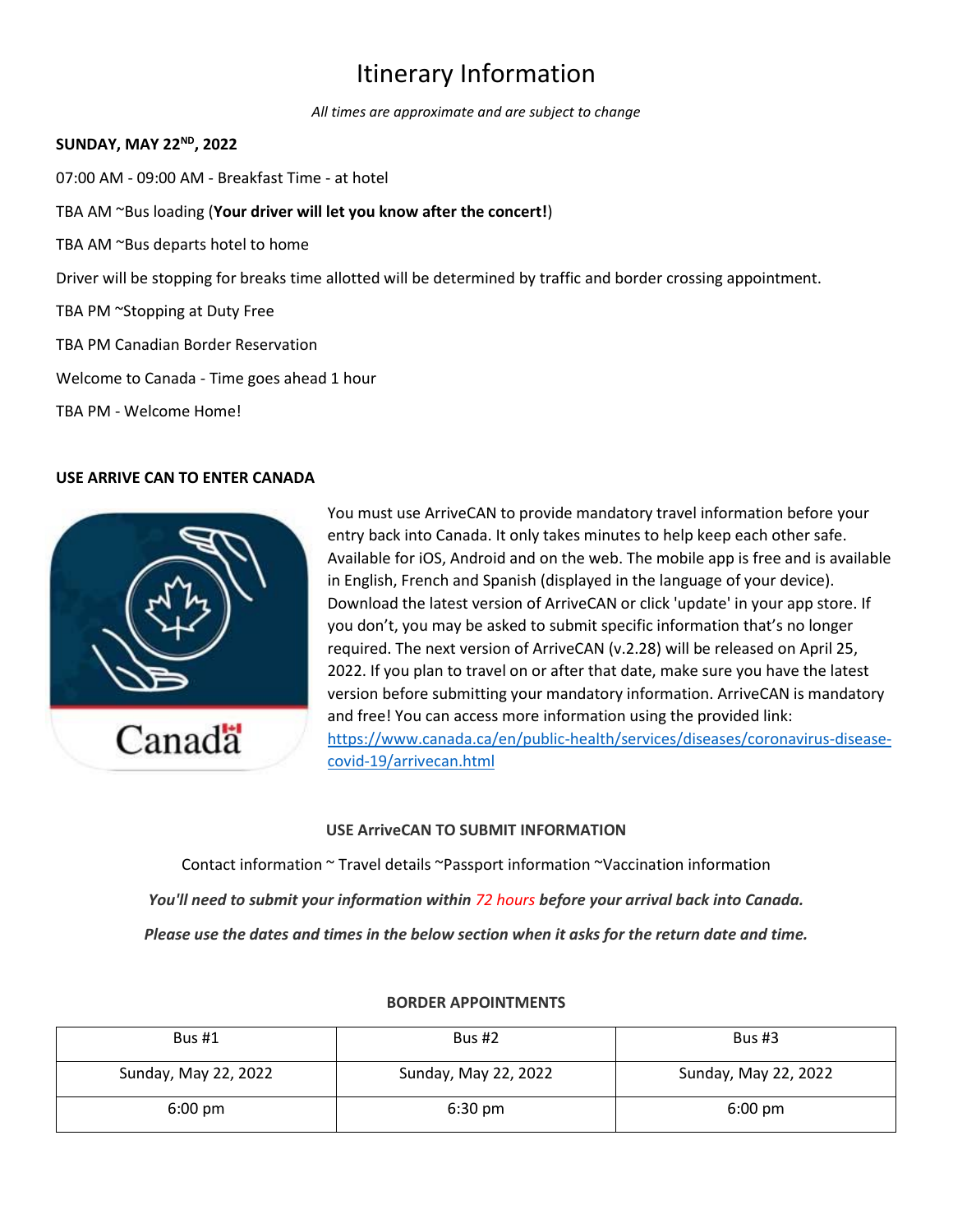# Itinerary Information

*All times are approximate and are subject to change*

# **SUNDAY, MAY 22ND, 2022**

07:00 AM - 09:00 AM - Breakfast Time - at hotel

- TBA AM ~Bus loading (**Your driver will let you know after the concert!**)
- TBA AM ~Bus departs hotel to home

Driver will be stopping for breaks time allotted will be determined by traffic and border crossing appointment.

- TBA PM ~Stopping at Duty Free
- TBA PM Canadian Border Reservation
- Welcome to Canada Time goes ahead 1 hour

TBA PM - Welcome Home!

# **USE ARRIVE CAN TO ENTER CANADA**



You must use ArriveCAN to provide mandatory travel information before your entry back into Canada. It only takes minutes to help keep each other safe. Available for iOS, Android and on the web. The mobile app is free and is available in English, French and Spanish (displayed in the language of your device). Download the latest version of ArriveCAN or click 'update' in your app store. If you don't, you may be asked to submit specific information that's no longer required. The next version of ArriveCAN (v.2.28) will be released on April 25, 2022. If you plan to travel on or after that date, make sure you have the latest version before submitting your mandatory information. ArriveCAN is mandatory and free! You can access more information using the provided link: [https://www.canada.ca/en/public-health/services/diseases/coronavirus-disease](https://www.canada.ca/en/public-health/services/diseases/coronavirus-disease-covid-19/arrivecan.html)[covid-19/arrivecan.html](https://www.canada.ca/en/public-health/services/diseases/coronavirus-disease-covid-19/arrivecan.html)

# **USE ArriveCAN TO SUBMIT INFORMATION**

Contact information ~ Travel details ~Passport information ~Vaccination information *You'll need to submit your information within 72 hours before your arrival back into Canada. Please use the dates and times in the below section when it asks for the return date and time.*

| <b>Bus #1</b>        | Bus #2               | Bus $#3$             |
|----------------------|----------------------|----------------------|
| Sunday, May 22, 2022 | Sunday, May 22, 2022 | Sunday, May 22, 2022 |
| $6:00 \text{ pm}$    | $6:30 \text{ pm}$    | $6:00 \text{ pm}$    |

#### **BORDER APPOINTMENTS**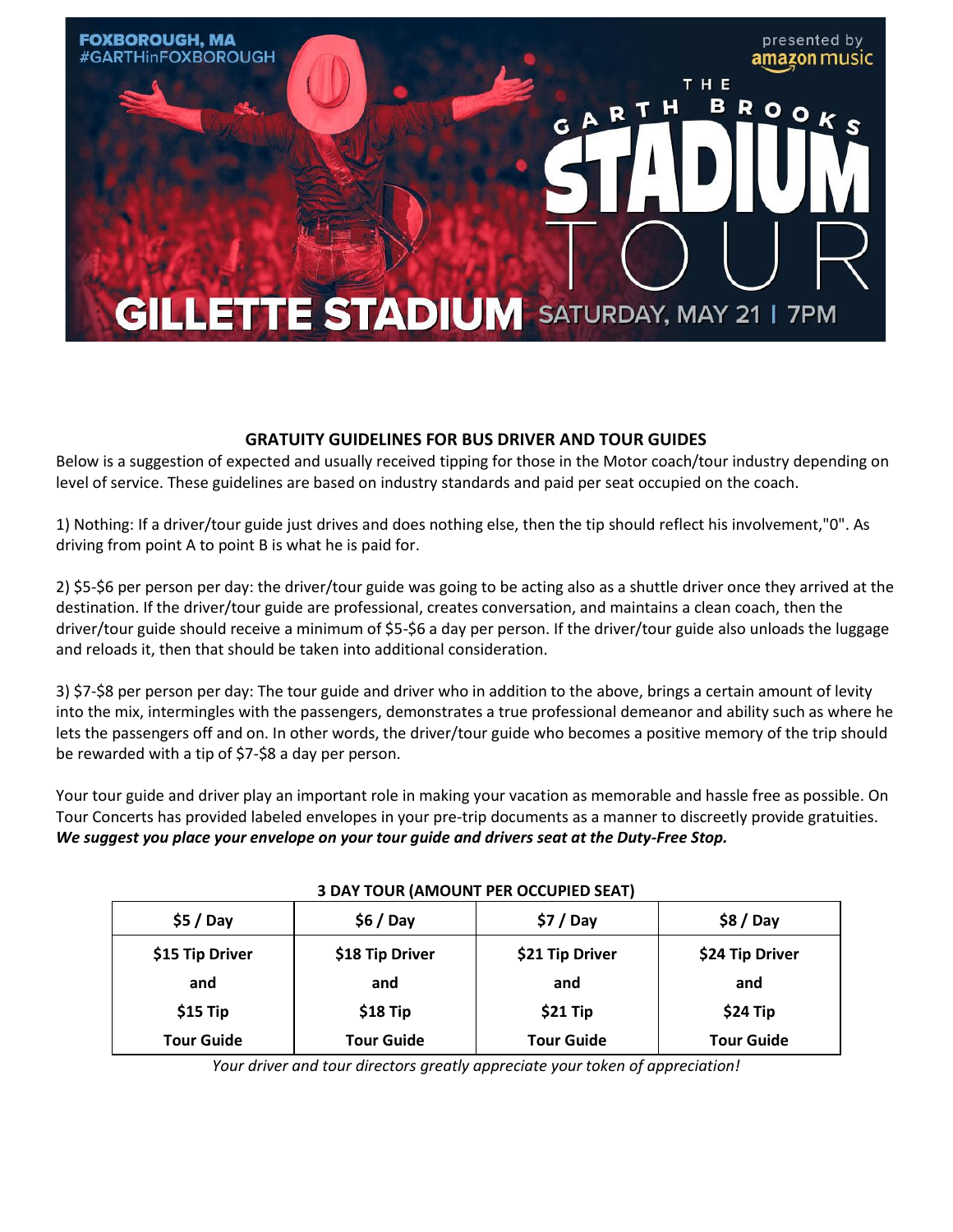

# **GRATUITY GUIDELINES FOR BUS DRIVER AND TOUR GUIDES**

Below is a suggestion of expected and usually received tipping for those in the Motor coach/tour industry depending on level of service. These guidelines are based on industry standards and paid per seat occupied on the coach.

1) Nothing: If a driver/tour guide just drives and does nothing else, then the tip should reflect his involvement,"0". As driving from point A to point B is what he is paid for.

2) \$5-\$6 per person per day: the driver/tour guide was going to be acting also as a shuttle driver once they arrived at the destination. If the driver/tour guide are professional, creates conversation, and maintains a clean coach, then the driver/tour guide should receive a minimum of \$5-\$6 a day per person. If the driver/tour guide also unloads the luggage and reloads it, then that should be taken into additional consideration.

3) \$7-\$8 per person per day: The tour guide and driver who in addition to the above, brings a certain amount of levity into the mix, intermingles with the passengers, demonstrates a true professional demeanor and ability such as where he lets the passengers off and on. In other words, the driver/tour guide who becomes a positive memory of the trip should be rewarded with a tip of \$7-\$8 a day per person.

Your tour guide and driver play an important role in making your vacation as memorable and hassle free as possible. On Tour Concerts has provided labeled envelopes in your pre-trip documents as a manner to discreetly provide gratuities. *We suggest you place your envelope on your tour guide and drivers seat at the Duty-Free Stop.* 

| <u>J DAT TOON (ARIOQIST FER OCCOFILD JEAT)</u> |                   |                   |                   |  |
|------------------------------------------------|-------------------|-------------------|-------------------|--|
| $$5/$ Day                                      | $$6/$ Day         | $$7/$ Day         | $$8/$ Day         |  |
| \$15 Tip Driver                                | \$18 Tip Driver   | \$21 Tip Driver   | \$24 Tip Driver   |  |
| and                                            | and               | and               | and               |  |
| $$15$ Tip                                      | $$18$ Tip         | \$21 Tip          | $$24$ Tip         |  |
| <b>Tour Guide</b>                              | <b>Tour Guide</b> | <b>Tour Guide</b> | <b>Tour Guide</b> |  |

# **3 DAY TOUR (AMOUNT PER OCCUPIED SEAT)**

*Your driver and tour directors greatly appreciate your token of appreciation!*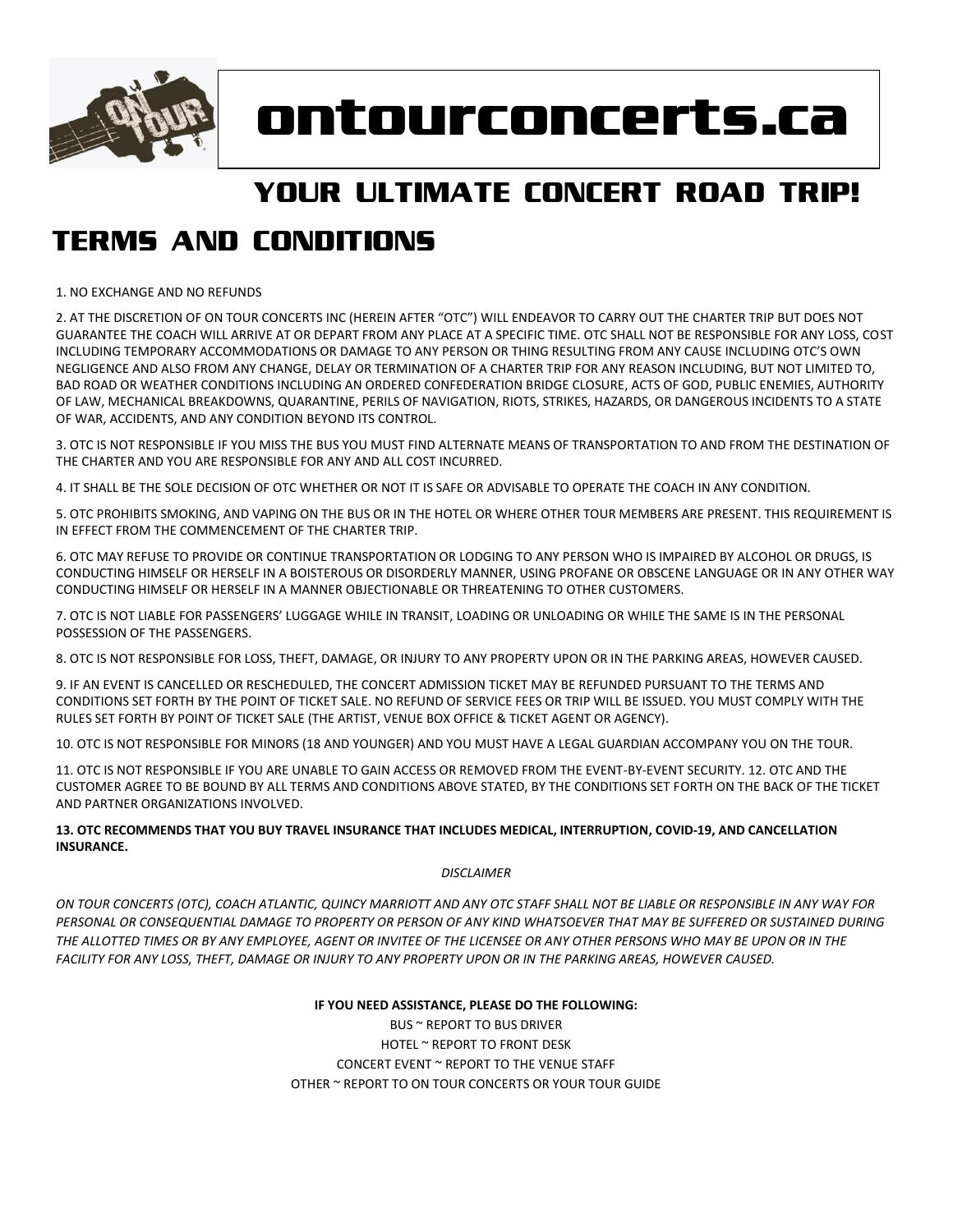

# **ontourconcerts.ca**

# **YOUR ULTIMATE CONCERT ROAD TRIP!**

# **TERMS AND CONDITIONS**

1. NO EXCHANGE AND NO REFUNDS

2. AT THE DISCRETION OF ON TOUR CONCERTS INC (HEREIN AFTER "OTC") WILL ENDEAVOR TO CARRY OUT THE CHARTER TRIP BUT DOES NOT GUARANTEE THE COACH WILL ARRIVE AT OR DEPART FROM ANY PLACE AT A SPECIFIC TIME. OTC SHALL NOT BE RESPONSIBLE FOR ANY LOSS, COST INCLUDING TEMPORARY ACCOMMODATIONS OR DAMAGE TO ANY PERSON OR THING RESULTING FROM ANY CAUSE INCLUDING OTC'S OWN NEGLIGENCE AND ALSO FROM ANY CHANGE, DELAY OR TERMINATION OF A CHARTER TRIP FOR ANY REASON INCLUDING, BUT NOT LIMITED TO, BAD ROAD OR WEATHER CONDITIONS INCLUDING AN ORDERED CONFEDERATION BRIDGE CLOSURE, ACTS OF GOD, PUBLIC ENEMIES, AUTHORITY OF LAW, MECHANICAL BREAKDOWNS, QUARANTINE, PERILS OF NAVIGATION, RIOTS, STRIKES, HAZARDS, OR DANGEROUS INCIDENTS TO A STATE OF WAR, ACCIDENTS, AND ANY CONDITION BEYOND ITS CONTROL.

3. OTC IS NOT RESPONSIBLE IF YOU MISS THE BUS YOU MUST FIND ALTERNATE MEANS OF TRANSPORTATION TO AND FROM THE DESTINATION OF THE CHARTER AND YOU ARE RESPONSIBLE FOR ANY AND ALL COST INCURRED.

4. IT SHALL BE THE SOLE DECISION OF OTC WHETHER OR NOT IT IS SAFE OR ADVISABLE TO OPERATE THE COACH IN ANY CONDITION.

5. OTC PROHIBITS SMOKING, AND VAPING ON THE BUS OR IN THE HOTEL OR WHERE OTHER TOUR MEMBERS ARE PRESENT. THIS REQUIREMENT IS IN EFFECT FROM THE COMMENCEMENT OF THE CHARTER TRIP.

6. OTC MAY REFUSE TO PROVIDE OR CONTINUE TRANSPORTATION OR LODGING TO ANY PERSON WHO IS IMPAIRED BY ALCOHOL OR DRUGS, IS CONDUCTING HIMSELF OR HERSELF IN A BOISTEROUS OR DISORDERLY MANNER, USING PROFANE OR OBSCENE LANGUAGE OR IN ANY OTHER WAY CONDUCTING HIMSELF OR HERSELF IN A MANNER OBJECTIONABLE OR THREATENING TO OTHER CUSTOMERS.

7. OTC IS NOT LIABLE FOR PASSENGERS' LUGGAGE WHILE IN TRANSIT, LOADING OR UNLOADING OR WHILE THE SAME IS IN THE PERSONAL POSSESSION OF THE PASSENGERS.

8. OTC IS NOT RESPONSIBLE FOR LOSS, THEFT, DAMAGE, OR INJURY TO ANY PROPERTY UPON OR IN THE PARKING AREAS, HOWEVER CAUSED.

9. IF AN EVENT IS CANCELLED OR RESCHEDULED, THE CONCERT ADMISSION TICKET MAY BE REFUNDED PURSUANT TO THE TERMS AND CONDITIONS SET FORTH BY THE POINT OF TICKET SALE. NO REFUND OF SERVICE FEES OR TRIP WILL BE ISSUED. YOU MUST COMPLY WITH THE RULES SET FORTH BY POINT OF TICKET SALE (THE ARTIST, VENUE BOX OFFICE & TICKET AGENT OR AGENCY).

10. OTC IS NOT RESPONSIBLE FOR MINORS (18 AND YOUNGER) AND YOU MUST HAVE A LEGAL GUARDIAN ACCOMPANY YOU ON THE TOUR.

11. OTC IS NOT RESPONSIBLE IF YOU ARE UNABLE TO GAIN ACCESS OR REMOVED FROM THE EVENT-BY-EVENT SECURITY. 12. OTC AND THE CUSTOMER AGREE TO BE BOUND BY ALL TERMS AND CONDITIONS ABOVE STATED, BY THE CONDITIONS SET FORTH ON THE BACK OF THE TICKET AND PARTNER ORGANIZATIONS INVOLVED.

#### **13. OTC RECOMMENDS THAT YOU BUY TRAVEL INSURANCE THAT INCLUDES MEDICAL, INTERRUPTION, COVID-19, AND CANCELLATION INSURANCE.**

#### *DISCLAIMER*

*ON TOUR CONCERTS (OTC), COACH ATLANTIC, QUINCY MARRIOTT AND ANY OTC STAFF SHALL NOT BE LIABLE OR RESPONSIBLE IN ANY WAY FOR PERSONAL OR CONSEQUENTIAL DAMAGE TO PROPERTY OR PERSON OF ANY KIND WHATSOEVER THAT MAY BE SUFFERED OR SUSTAINED DURING THE ALLOTTED TIMES OR BY ANY EMPLOYEE, AGENT OR INVITEE OF THE LICENSEE OR ANY OTHER PERSONS WHO MAY BE UPON OR IN THE FACILITY FOR ANY LOSS, THEFT, DAMAGE OR INJURY TO ANY PROPERTY UPON OR IN THE PARKING AREAS, HOWEVER CAUSED.*

#### **IF YOU NEED ASSISTANCE, PLEASE DO THE FOLLOWING:**

BUS ~ REPORT TO BUS DRIVER HOTEL ~ REPORT TO FRONT DESK CONCERT EVENT ~ REPORT TO THE VENUE STAFF OTHER ~ REPORT TO ON TOUR CONCERTS OR YOUR TOUR GUIDE